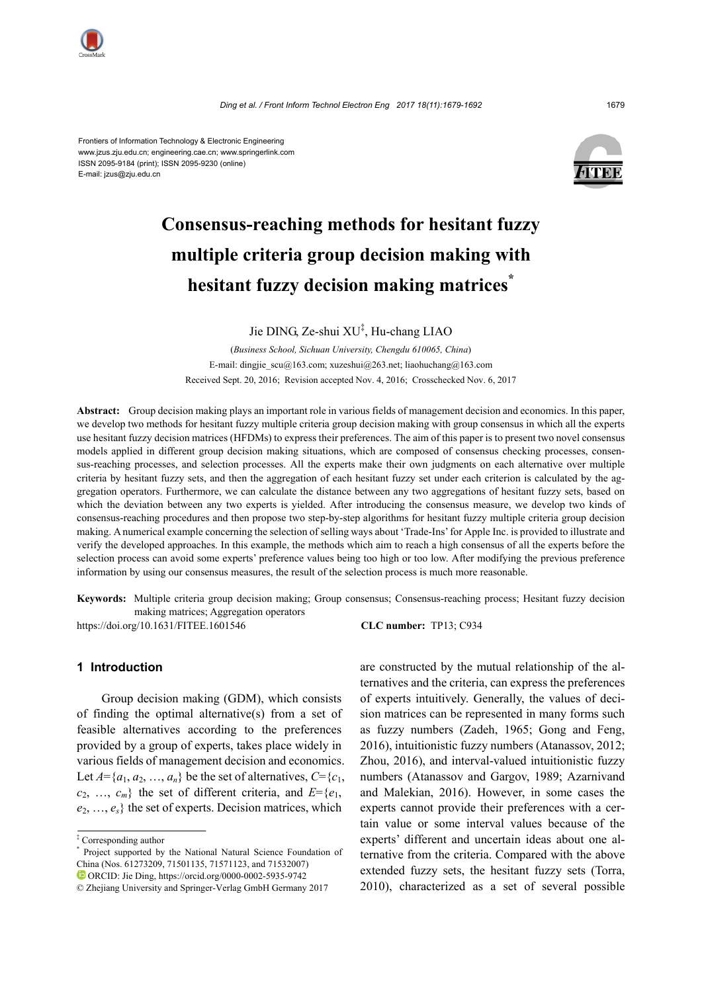

Frontiers of Information Technology & Electronic Engineering www.jzus.zju.edu.cn; engineering.cae.cn; www.springerlink.com ISSN 2095-9184 (print); ISSN 2095-9230 (online) E-mail: jzus@zju.edu.cn



# **Consensus-reaching methods for hesitant fuzzy multiple criteria group decision making with hesitant fuzzy decision making matrices**<sup>\*</sup>

Jie DING, Ze-shui XU<sup>‡</sup>, Hu-chang LIAO

(*Business School, Sichuan University, Chengdu 610065, China*) E-mail: dingjie\_scu@163.com; xuzeshui@263.net; liaohuchang@163.com Received Sept. 20, 2016; Revision accepted Nov. 4, 2016; Crosschecked Nov. 6, 2017

**Abstract:** Group decision making plays an important role in various fields of management decision and economics. In this paper, we develop two methods for hesitant fuzzy multiple criteria group decision making with group consensus in which all the experts use hesitant fuzzy decision matrices (HFDMs) to express their preferences. The aim of this paper is to present two novel consensus models applied in different group decision making situations, which are composed of consensus checking processes, consensus-reaching processes, and selection processes. All the experts make their own judgments on each alternative over multiple criteria by hesitant fuzzy sets, and then the aggregation of each hesitant fuzzy set under each criterion is calculated by the aggregation operators. Furthermore, we can calculate the distance between any two aggregations of hesitant fuzzy sets, based on which the deviation between any two experts is yielded. After introducing the consensus measure, we develop two kinds of consensus-reaching procedures and then propose two step-by-step algorithms for hesitant fuzzy multiple criteria group decision making. A numerical example concerning the selection of selling ways about 'Trade-Ins' for Apple Inc. is provided to illustrate and verify the developed approaches. In this example, the methods which aim to reach a high consensus of all the experts before the selection process can avoid some experts' preference values being too high or too low. After modifying the previous preference information by using our consensus measures, the result of the selection process is much more reasonable.

**Keywords:** Multiple criteria group decision making; Group consensus; Consensus-reaching process; Hesitant fuzzy decision making matrices; Aggregation operators

https://doi.org/10.1631/FITEE.1601546 **CLC number:** TP13; C934

# **1 Introduction**

Group decision making (GDM), which consists of finding the optimal alternative(s) from a set of feasible alternatives according to the preferences provided by a group of experts, takes place widely in various fields of management decision and economics. Let  $A = \{a_1, a_2, \ldots, a_n\}$  be the set of alternatives,  $C = \{c_1, c_2, \ldots, c_n\}$  $c_2$ , ...,  $c_m$ } the set of different criteria, and  $E = \{e_1, e_2\}$  $e_2, \ldots, e_s$  the set of experts. Decision matrices, which

are constructed by the mutual relationship of the alternatives and the criteria, can express the preferences of experts intuitively. Generally, the values of decision matrices can be represented in many forms such as fuzzy numbers (Zadeh, 1965; Gong and Feng, 2016), intuitionistic fuzzy numbers (Atanassov, 2012; Zhou, 2016), and interval-valued intuitionistic fuzzy numbers (Atanassov and Gargov, 1989; Azarnivand and Malekian, 2016). However, in some cases the experts cannot provide their preferences with a certain value or some interval values because of the experts' different and uncertain ideas about one alternative from the criteria. Compared with the above extended fuzzy sets, the hesitant fuzzy sets (Torra, 2010), characterized as a set of several possible

<sup>‡</sup> Corresponding author

<sup>\*</sup> Project supported by the National Natural Science Foundation of China (Nos. 61273209, 71501135, 71571123, and 71532007) ORCID: Jie Ding, https://orcid.org/0000-0002-5935-9742

<sup>©</sup> Zhejiang University and Springer-Verlag GmbH Germany 2017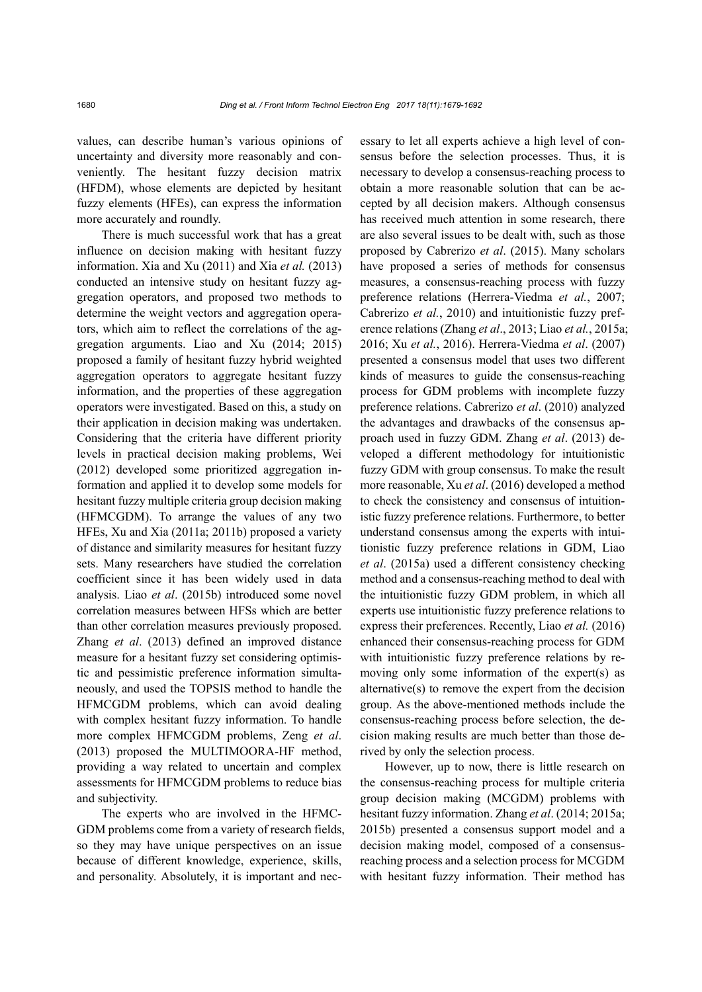values, can describe human's various opinions of uncertainty and diversity more reasonably and conveniently. The hesitant fuzzy decision matrix (HFDM), whose elements are depicted by hesitant fuzzy elements (HFEs), can express the information more accurately and roundly.

There is much successful work that has a great influence on decision making with hesitant fuzzy information. Xia and Xu (2011) and Xia *et al.* (2013) conducted an intensive study on hesitant fuzzy aggregation operators, and proposed two methods to determine the weight vectors and aggregation operators, which aim to reflect the correlations of the aggregation arguments. Liao and Xu (2014; 2015) proposed a family of hesitant fuzzy hybrid weighted aggregation operators to aggregate hesitant fuzzy information, and the properties of these aggregation operators were investigated. Based on this, a study on their application in decision making was undertaken. Considering that the criteria have different priority levels in practical decision making problems, Wei (2012) developed some prioritized aggregation information and applied it to develop some models for hesitant fuzzy multiple criteria group decision making (HFMCGDM). To arrange the values of any two HFEs, Xu and Xia (2011a; 2011b) proposed a variety of distance and similarity measures for hesitant fuzzy sets. Many researchers have studied the correlation coefficient since it has been widely used in data analysis. Liao *et al*. (2015b) introduced some novel correlation measures between HFSs which are better than other correlation measures previously proposed. Zhang *et al*. (2013) defined an improved distance measure for a hesitant fuzzy set considering optimistic and pessimistic preference information simultaneously, and used the TOPSIS method to handle the HFMCGDM problems, which can avoid dealing with complex hesitant fuzzy information. To handle more complex HFMCGDM problems, Zeng *et al*. (2013) proposed the MULTIMOORA-HF method, providing a way related to uncertain and complex assessments for HFMCGDM problems to reduce bias and subjectivity.

The experts who are involved in the HFMC-GDM problems come from a variety of research fields, so they may have unique perspectives on an issue because of different knowledge, experience, skills, and personality. Absolutely, it is important and necessary to let all experts achieve a high level of consensus before the selection processes. Thus, it is necessary to develop a consensus-reaching process to obtain a more reasonable solution that can be accepted by all decision makers. Although consensus has received much attention in some research, there are also several issues to be dealt with, such as those proposed by Cabrerizo *et al*. (2015). Many scholars have proposed a series of methods for consensus measures, a consensus-reaching process with fuzzy preference relations (Herrera-Viedma *et al.*, 2007; Cabrerizo *et al.*, 2010) and intuitionistic fuzzy preference relations (Zhang *et al*., 2013; Liao *et al.*, 2015a; 2016; Xu *et al.*, 2016). Herrera-Viedma *et al*. (2007) presented a consensus model that uses two different kinds of measures to guide the consensus-reaching process for GDM problems with incomplete fuzzy preference relations. Cabrerizo *et al*. (2010) analyzed the advantages and drawbacks of the consensus approach used in fuzzy GDM. Zhang *et al*. (2013) developed a different methodology for intuitionistic fuzzy GDM with group consensus. To make the result more reasonable, Xu *et al*. (2016) developed a method to check the consistency and consensus of intuitionistic fuzzy preference relations. Furthermore, to better understand consensus among the experts with intuitionistic fuzzy preference relations in GDM, Liao *et al*. (2015a) used a different consistency checking method and a consensus-reaching method to deal with the intuitionistic fuzzy GDM problem, in which all experts use intuitionistic fuzzy preference relations to express their preferences. Recently, Liao *et al.* (2016) enhanced their consensus-reaching process for GDM with intuitionistic fuzzy preference relations by removing only some information of the expert(s) as alternative(s) to remove the expert from the decision group. As the above-mentioned methods include the consensus-reaching process before selection, the decision making results are much better than those derived by only the selection process.

However, up to now, there is little research on the consensus-reaching process for multiple criteria group decision making (MCGDM) problems with hesitant fuzzy information. Zhang *et al*. (2014; 2015a; 2015b) presented a consensus support model and a decision making model, composed of a consensusreaching process and a selection process for MCGDM with hesitant fuzzy information. Their method has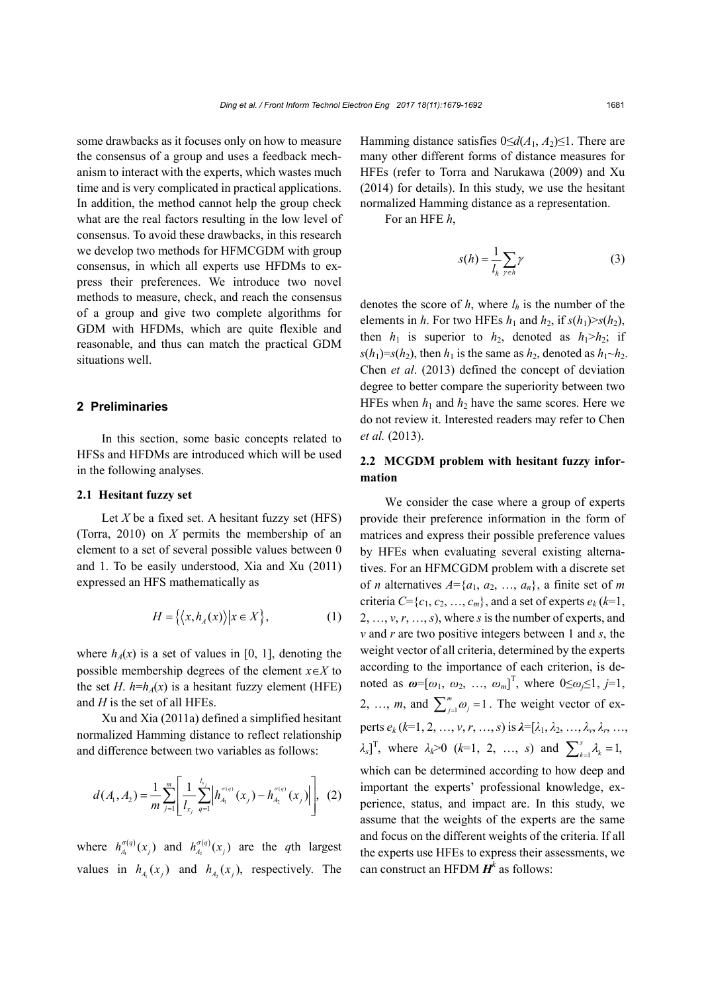some drawbacks as it focuses only on how to measure the consensus of a group and uses a feedback mechanism to interact with the experts, which wastes much time and is very complicated in practical applications. In addition, the method cannot help the group check what are the real factors resulting in the low level of consensus. To avoid these drawbacks, in this research we develop two methods for HFMCGDM with group consensus, in which all experts use HFDMs to express their preferences. We introduce two novel methods to measure, check, and reach the consensus of a group and give two complete algorithms for GDM with HFDMs, which are quite flexible and reasonable, and thus can match the practical GDM situations well.

## **2 Preliminaries**

In this section, some basic concepts related to HFSs and HFDMs are introduced which will be used in the following analyses.

## **2.1 Hesitant fuzzy set**

Let *X* be a fixed set. A hesitant fuzzy set (HFS) (Torra, 2010) on *X* permits the membership of an element to a set of several possible values between 0 and 1. To be easily understood, Xia and Xu (2011) expressed an HFS mathematically as

$$
H = \{ \langle x, h_A(x) \rangle | x \in X \},\tag{1}
$$

where  $h_A(x)$  is a set of values in [0, 1], denoting the possible membership degrees of the element  $x \in X$  to the set *H*.  $h=h_A(x)$  is a hesitant fuzzy element (HFE) and *H* is the set of all HFEs.

Xu and Xia (2011a) defined a simplified hesitant normalized Hamming distance to reflect relationship and difference between two variables as follows:

$$
d(A_1, A_2) = \frac{1}{m} \sum_{j=1}^{m} \left[ \frac{1}{l_{x_j}} \sum_{q=1}^{l_{x_j}} \left| h_{A_1}^{\sigma(q)}(x_j) - h_{A_2}^{\sigma(q)}(x_j) \right| \right], (2)
$$

where  $h_{A_1}^{\sigma(q)}(x_j)$  and  $h_{A_2}^{\sigma(q)}(x_j)$  are the *q*th largest values in  $h_{A_1}(x_j)$  and  $h_{A_2}(x_j)$ , respectively. The Hamming distance satisfies  $0 \le d(A_1, A_2) \le 1$ . There are many other different forms of distance measures for HFEs (refer to Torra and Narukawa (2009) and Xu (2014) for details). In this study, we use the hesitant normalized Hamming distance as a representation.

For an HFE *h*,

$$
s(h) = \frac{1}{l_h} \sum_{\gamma \in h} \gamma \tag{3}
$$

denotes the score of  $h$ , where  $l_h$  is the number of the elements in *h*. For two HFEs  $h_1$  and  $h_2$ , if  $s(h_1) > s(h_2)$ , then  $h_1$  is superior to  $h_2$ , denoted as  $h_1 > h_2$ ; if  $s(h_1)=s(h_2)$ , then  $h_1$  is the same as  $h_2$ , denoted as  $h_1 \sim h_2$ . Chen *et al*. (2013) defined the concept of deviation degree to better compare the superiority between two HFEs when  $h_1$  and  $h_2$  have the same scores. Here we do not review it. Interested readers may refer to Chen *et al.* (2013).

# **2.2 MCGDM problem with hesitant fuzzy information**

We consider the case where a group of experts provide their preference information in the form of matrices and express their possible preference values by HFEs when evaluating several existing alternatives. For an HFMCGDM problem with a discrete set of *n* alternatives  $A = \{a_1, a_2, ..., a_n\}$ , a finite set of *m* criteria  $C = \{c_1, c_2, \ldots, c_m\}$ , and a set of experts  $e_k$  ( $k=1$ , 2, …, *v*, *r*, …, *s*), where *s* is the number of experts, and *v* and *r* are two positive integers between 1 and *s*, the weight vector of all criteria, determined by the experts according to the importance of each criterion, is denoted as  $\boldsymbol{\omega} = [\omega_1, \omega_2, \dots, \omega_m]^T$ , where  $0 \le \omega_j \le 1, j=1$ , 2, ..., *m*, and  $\sum_{j=1}^{m} \omega_j = 1$ . The weight vector of experts *ek* (*k*=1, 2, …, *v*, *r*, …, *s*) is *λ*=[*λ*1, *λ*2, …, *λν*, *λr*, …,  $\lambda_s$ <sup>T</sup>, where  $\lambda_k > 0$  (*k*=1, 2, ..., *s*) and  $\sum_{k=1}^s \lambda_k = 1$ , which can be determined according to how deep and important the experts' professional knowledge, experience, status, and impact are. In this study, we assume that the weights of the experts are the same and focus on the different weights of the criteria. If all the experts use HFEs to express their assessments, we can construct an HFDM  $\boldsymbol{H}^k$  as follows: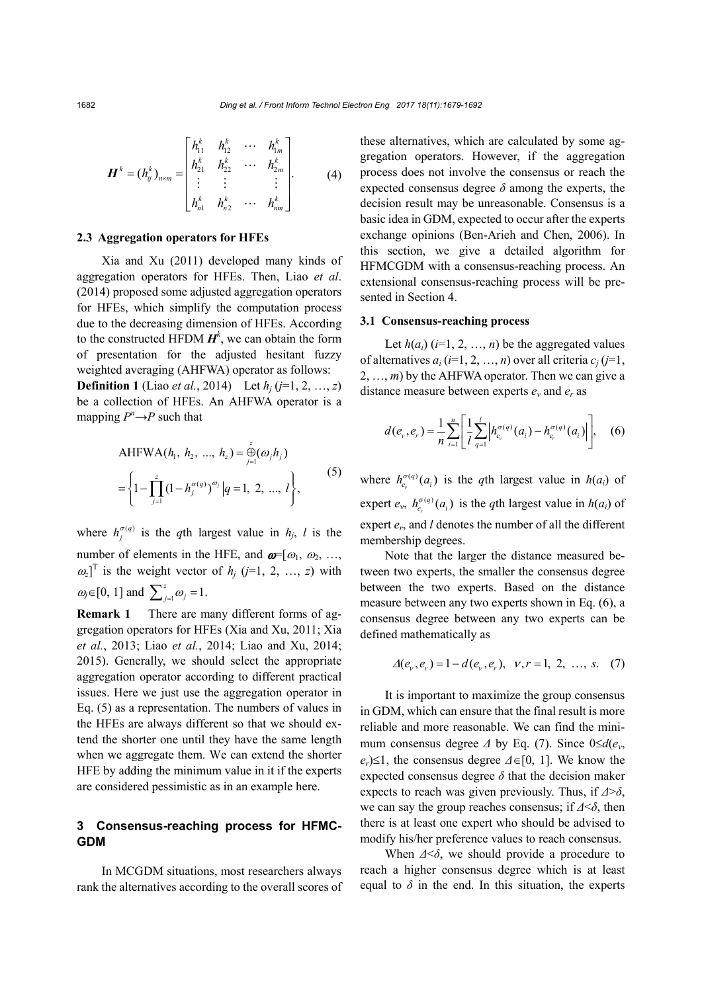$$
\boldsymbol{H}^{k} = (h_{ij}^{k})_{n \times m} = \begin{bmatrix} h_{11}^{k} & h_{12}^{k} & \cdots & h_{1m}^{k} \\ h_{21}^{k} & h_{22}^{k} & \cdots & h_{2m}^{k} \\ \vdots & \vdots & & \vdots \\ h_{n1}^{k} & h_{n2}^{k} & \cdots & h_{nm}^{k} \end{bmatrix} .
$$
 (4)

## **2.3 Aggregation operators for HFEs**

Xia and Xu (2011) developed many kinds of aggregation operators for HFEs. Then, Liao *et al*. (2014) proposed some adjusted aggregation operators for HFEs, which simplify the computation process due to the decreasing dimension of HFEs. According to the constructed HFDM  $H^k$ , we can obtain the form of presentation for the adjusted hesitant fuzzy weighted averaging (AHFWA) operator as follows: **Definition 1** (Liao *et al.*, 2014) Let  $h_i$  ( $j=1, 2, ..., z$ ) be a collection of HFEs. An AHFWA operator is a mapping  $P^n \rightarrow P$  such that

AHFWA(
$$
h_1, h_2, ..., h_z
$$
) =  $\bigoplus_{j=1}^{z} (\omega_j h_j)$   
=  $\left\{ 1 - \prod_{j=1}^{z} (1 - h_j^{q(q)})^{\omega_j} | q = 1, 2, ..., l \right\},$  (5)

where  $h_j^{\sigma(q)}$  is the *q*th largest value in  $h_j$ , *l* is the number of elements in the HFE, and  $\boldsymbol{\omega}=[\omega_1, \omega_2, \ldots, \omega_n]$  $\omega_z$ <sup>T</sup> is the weight vector of *h<sub>j</sub>* (*j*=1, 2, …, *z*) with  $\omega_j \in [0, 1]$  and  $\sum_{j=1}^z \omega_j = 1$ .

**Remark 1** There are many different forms of aggregation operators for HFEs (Xia and Xu, 2011; Xia *et al.*, 2013; Liao *et al.*, 2014; Liao and Xu, 2014; 2015). Generally, we should select the appropriate aggregation operator according to different practical issues. Here we just use the aggregation operator in Eq. (5) as a representation. The numbers of values in the HFEs are always different so that we should extend the shorter one until they have the same length when we aggregate them. We can extend the shorter HFE by adding the minimum value in it if the experts are considered pessimistic as in an example here.

## **3 Consensus-reaching process for HFMC-GDM**

In MCGDM situations, most researchers always rank the alternatives according to the overall scores of these alternatives, which are calculated by some aggregation operators. However, if the aggregation process does not involve the consensus or reach the expected consensus degree  $\delta$  among the experts, the decision result may be unreasonable. Consensus is a basic idea in GDM, expected to occur after the experts exchange opinions (Ben-Arieh and Chen, 2006). In this section, we give a detailed algorithm for HFMCGDM with a consensus-reaching process. An extensional consensus-reaching process will be presented in Section 4.

## **3.1 Consensus-reaching process**

Let  $h(a_i)$  ( $i=1, 2, ..., n$ ) be the aggregated values of alternatives  $a_i$  ( $i=1, 2, ..., n$ ) over all criteria  $c_i$  ( $i=1,$ 2, …, *m*) by the AHFWA operator. Then we can give a distance measure between experts *eν* and *er* as

$$
d(e_v, e_r) = \frac{1}{n} \sum_{i=1}^n \left[ \frac{1}{l} \sum_{q=1}^l \left| h_{e_v}^{\sigma(q)}(a_i) - h_{e_r}^{\sigma(q)}(a_i) \right| \right], \quad (6)
$$

where  $h_{e_v}^{\sigma(q)}(a_i)$  is the *q*th largest value in  $h(a_i)$  of expert  $e_v$ ,  $h_{e_v}^{\sigma(q)}(a_i)$  is the *q*th largest value in  $h(a_i)$  of expert *er*, and *l* denotes the number of all the different membership degrees.

Note that the larger the distance measured between two experts, the smaller the consensus degree between the two experts. Based on the distance measure between any two experts shown in Eq. (6), a consensus degree between any two experts can be defined mathematically as

$$
\Delta(e_v, e_v) = 1 - d(e_v, e_v), \quad v, r = 1, 2, \dots, s. \quad (7)
$$

It is important to maximize the group consensus in GDM, which can ensure that the final result is more reliable and more reasonable. We can find the minimum consensus degree  $\Delta$  by Eq. (7). Since  $0 \leq d(e_v,$  $e_r \leq 1$ , the consensus degree  $\Delta \in [0, 1]$ . We know the expected consensus degree  $\delta$  that the decision maker expects to reach was given previously. Thus, if *Δ*>*δ*, we can say the group reaches consensus; if *Δ*<*δ*, then there is at least one expert who should be advised to modify his/her preference values to reach consensus.

When *Δ*<*δ*, we should provide a procedure to reach a higher consensus degree which is at least equal to  $\delta$  in the end. In this situation, the experts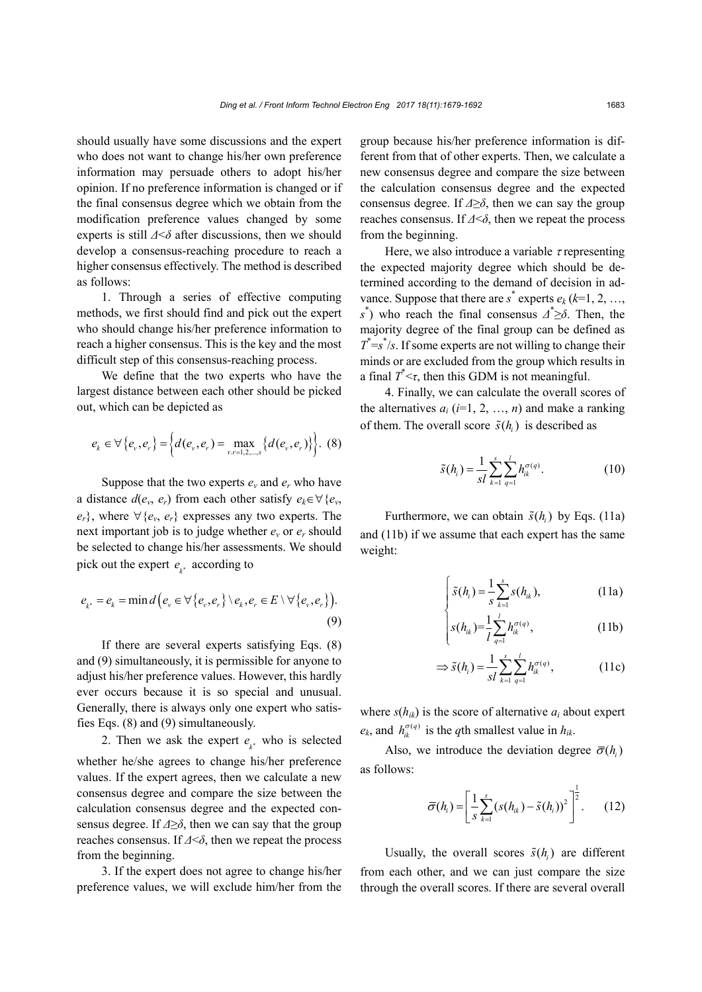should usually have some discussions and the expert who does not want to change his/her own preference information may persuade others to adopt his/her opinion. If no preference information is changed or if the final consensus degree which we obtain from the modification preference values changed by some experts is still *Δ*<*δ* after discussions, then we should develop a consensus-reaching procedure to reach a higher consensus effectively. The method is described as follows:

1. Through a series of effective computing methods, we first should find and pick out the expert who should change his/her preference information to reach a higher consensus. This is the key and the most difficult step of this consensus-reaching process.

We define that the two experts who have the largest distance between each other should be picked out, which can be depicted as

$$
e_k \in \forall \{e_v, e_r\} = \left\{ d(e_v, e_r) = \max_{v.r=1,2,...,s} \left\{ d(e_v, e_r) \right\} \right\}
$$
. (8)

Suppose that the two experts  $e_v$  and  $e_r$  who have a distance  $d(e_v, e_r)$  from each other satisfy  $e_k \in \forall \{e_v, e_v\}$  $e_r$ }, where  $\forall$  { $e_v$ ,  $e_r$ } expresses any two experts. The next important job is to judge whether *eν* or *er* should be selected to change his/her assessments. We should pick out the expert  $e_{k^*}$  according to

$$
e_{k^*} = e_k = \min d \left( e_v \in \forall \{e_v, e_r\} \setminus e_k, e_r \in E \setminus \forall \{e_v, e_r\} \right).
$$
\n(9)

If there are several experts satisfying Eqs. (8) and (9) simultaneously, it is permissible for anyone to adjust his/her preference values. However, this hardly ever occurs because it is so special and unusual. Generally, there is always only one expert who satisfies Eqs. (8) and (9) simultaneously.

2. Then we ask the expert  $e_{i*}$  who is selected whether he/she agrees to change his/her preference values. If the expert agrees, then we calculate a new consensus degree and compare the size between the calculation consensus degree and the expected consensus degree. If *Δ*≥*δ*, then we can say that the group reaches consensus. If *Δ*<*δ*, then we repeat the process from the beginning.

3. If the expert does not agree to change his/her preference values, we will exclude him/her from the group because his/her preference information is different from that of other experts. Then, we calculate a new consensus degree and compare the size between the calculation consensus degree and the expected consensus degree. If *Δ*≥*δ*, then we can say the group reaches consensus. If *Δ*<*δ*, then we repeat the process from the beginning.

Here, we also introduce a variable  $\tau$  representing the expected majority degree which should be determined according to the demand of decision in advance. Suppose that there are  $s^*$  experts  $e_k$  ( $k=1, 2, ...,$ *s* \* ) who reach the final consensus *Δ*\* ≥*δ*. Then, the majority degree of the final group can be defined as  $T^* = s^* / s$ . If some experts are not willing to change their minds or are excluded from the group which results in a final  $T^* < \tau$ , then this GDM is not meaningful.

4. Finally, we can calculate the overall scores of the alternatives  $a_i$  ( $i=1, 2, ..., n$ ) and make a ranking of them. The overall score  $\tilde{s}(h_i)$  is described as

$$
\tilde{s}(h_i) = \frac{1}{sI} \sum_{k=1}^{s} \sum_{q=1}^{l} h_{ik}^{\sigma(q)}.
$$
 (10)

Furthermore, we can obtain  $\tilde{s}(h_i)$  by Eqs. (11a) and (11b) if we assume that each expert has the same weight:

$$
\int \widetilde{s}(h_i) = \frac{1}{s} \sum_{k=1}^{s} s(h_{ik}), \qquad (11a)
$$

$$
\begin{cases} s(h_{ik}) = \frac{1}{l} \sum_{q=1}^{l} h_{ik}^{\sigma(q)}, & (1\,1b) \end{cases}
$$

$$
\Rightarrow \tilde{s}(h_i) = \frac{1}{sl} \sum_{k=1}^{s} \sum_{q=1}^{l} h_{ik}^{\sigma(q)}, \tag{11c}
$$

where  $s(h_{ik})$  is the score of alternative  $a_i$  about expert  $e_k$ , and  $h_{ik}^{\sigma(q)}$  is the *q*th smallest value in  $h_{ik}$ .

Also, we introduce the deviation degree  $\bar{\sigma}(h_i)$ as follows:

$$
\overline{\sigma}(h_i) = \left[\frac{1}{s} \sum_{k=1}^{s} (s(h_{ik}) - \tilde{s}(h_i))^2\right]^{\frac{1}{2}}.
$$
 (12)

Usually, the overall scores  $\tilde{s}(h_i)$  are different from each other, and we can just compare the size through the overall scores. If there are several overall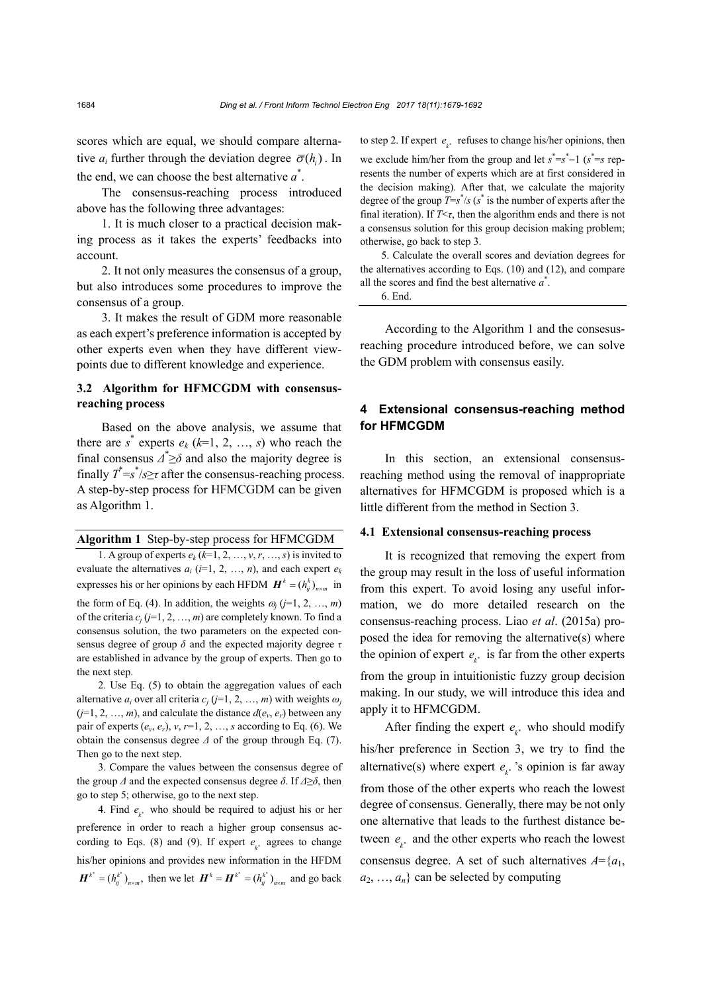scores which are equal, we should compare alternative  $a_i$  further through the deviation degree  $\bar{\sigma}(h_i)$ . In the end, we can choose the best alternative  $a^*$ .

The consensus-reaching process introduced above has the following three advantages:

1. It is much closer to a practical decision making process as it takes the experts' feedbacks into account.

2. It not only measures the consensus of a group, but also introduces some procedures to improve the consensus of a group.

3. It makes the result of GDM more reasonable as each expert's preference information is accepted by other experts even when they have different viewpoints due to different knowledge and experience.

# **3.2 Algorithm for HFMCGDM with consensusreaching process**

Based on the above analysis, we assume that there are  $s^*$  experts  $e_k$  ( $k=1, 2, ..., s$ ) who reach the final consensus  $\Delta^* \geq \delta$  and also the majority degree is finally  $T^* = s^* / s \geq \tau$  after the consensus-reaching process. A step-by-step process for HFMCGDM can be given as Algorithm 1.

## **Algorithm 1** Step-by-step process for HFMCGDM

1. A group of experts  $e_k$  ( $k=1, 2, ..., v, r, ..., s$ ) is invited to evaluate the alternatives  $a_i$  ( $i=1, 2, ..., n$ ), and each expert  $e_k$ expresses his or her opinions by each HFDM  $\boldsymbol{H}^k = (h_{ij}^k)_{n \times m}$  in the form of Eq. (4). In addition, the weights  $\omega_i$  (*j*=1, 2, …, *m*) of the criteria  $c_j$  ( $j=1, 2, ..., m$ ) are completely known. To find a consensus solution, the two parameters on the expected consensus degree of group *δ* and the expected majority degree *τ* are established in advance by the group of experts. Then go to the next step.

2. Use Eq. (5) to obtain the aggregation values of each alternative  $a_i$  over all criteria  $c_j$  ( $j=1, 2, ..., m$ ) with weights  $\omega_j$  $(j=1, 2, \ldots, m)$ , and calculate the distance  $d(e_v, e_r)$  between any pair of experts  $(e_v, e_r)$ ,  $v, r=1, 2, \ldots, s$  according to Eq. (6). We obtain the consensus degree *Δ* of the group through Eq. (7). Then go to the next step.

3. Compare the values between the consensus degree of the group  $\Delta$  and the expected consensus degree  $\delta$ . If  $\Delta \geq \delta$ , then go to step 5; otherwise, go to the next step.

4. Find  $e_{\mu}$  who should be required to adjust his or her preference in order to reach a higher group consensus according to Eqs. (8) and (9). If expert  $e_{\iota^*}$  agrees to change his/her opinions and provides new information in the HFDM  $H^{k^*} = (h_{ij}^{k^*})_{n \times m}$ , then we let  $H^k = H^{k^*} = (h_{ij}^{k^*})_{n \times m}$  and go back to step 2. If expert  $e_{i*}$  refuses to change his/her opinions, then we exclude him/her from the group and let  $s^* = s^* - 1$  ( $s^* = s$  represents the number of experts which are at first considered in the decision making). After that, we calculate the majority degree of the group  $T = s^* / s$  ( $s^*$  is the number of experts after the final iteration). If  $T \leq \tau$ , then the algorithm ends and there is not a consensus solution for this group decision making problem; otherwise, go back to step 3.

5. Calculate the overall scores and deviation degrees for the alternatives according to Eqs. (10) and (12), and compare all the scores and find the best alternative *a*\* .

6. End.

According to the Algorithm 1 and the consesusreaching procedure introduced before, we can solve the GDM problem with consensus easily.

# **4 Extensional consensus-reaching method for HFMCGDM**

In this section, an extensional consensusreaching method using the removal of inappropriate alternatives for HFMCGDM is proposed which is a little different from the method in Section 3.

#### **4.1 Extensional consensus-reaching process**

It is recognized that removing the expert from the group may result in the loss of useful information from this expert. To avoid losing any useful information, we do more detailed research on the consensus-reaching process. Liao *et al*. (2015a) proposed the idea for removing the alternative(s) where the opinion of expert  $e_{i^*}$  is far from the other experts

from the group in intuitionistic fuzzy group decision making. In our study, we will introduce this idea and apply it to HFMCGDM.

After finding the expert  $e_{i^*}$  who should modify his/her preference in Section 3, we try to find the alternative(s) where expert  $e_{i*}$  's opinion is far away from those of the other experts who reach the lowest degree of consensus. Generally, there may be not only one alternative that leads to the furthest distance between  $e_{i^*}$  and the other experts who reach the lowest consensus degree. A set of such alternatives  $A = \{a_1, a_2, \ldots, a_n\}$  $a_2, \ldots, a_n$ } can be selected by computing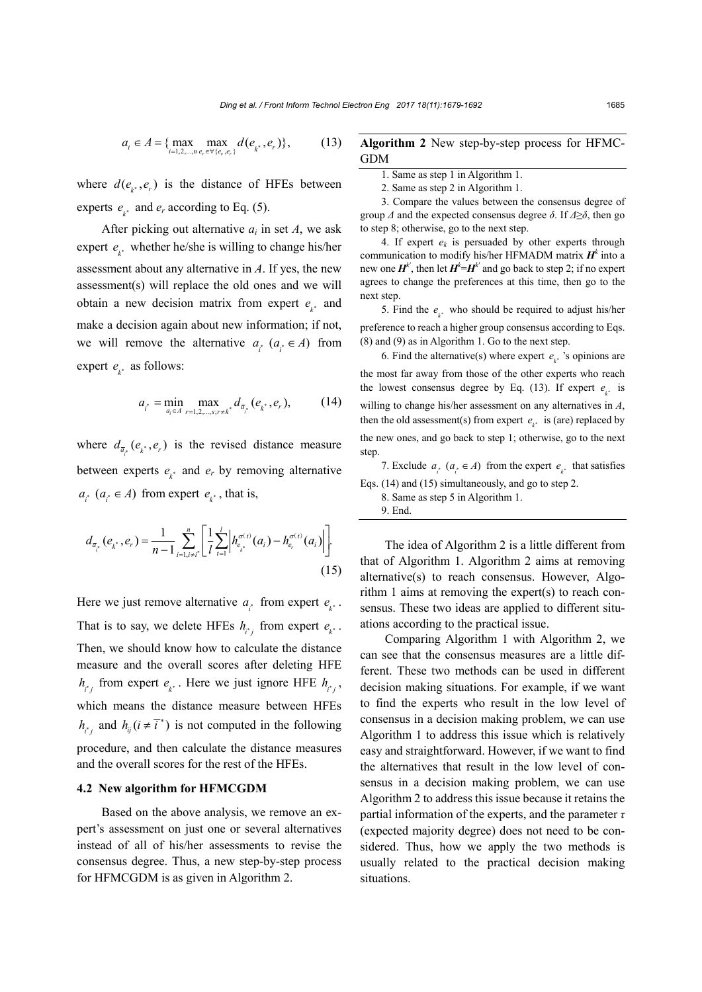$$
a_i \in A = \{ \max_{i=1,2,\dots,n} \max_{e_r \in \forall \{e_v, e_r\}} d(e_{k^*}, e_r) \},\tag{13}
$$

where  $d(e_{i*}, e_{i})$  is the distance of HFEs between experts  $e_{i*}$  and  $e_r$  according to Eq. (5).

After picking out alternative  $a_i$  in set  $A$ , we ask expert  $e_{\mu^*}$  whether he/she is willing to change his/her assessment about any alternative in *A*. If yes, the new assessment(s) will replace the old ones and we will obtain a new decision matrix from expert  $e_{i*}$  and make a decision again about new information; if not, we will remove the alternative  $a_*(a_* \in A)$  from expert  $e_{i^*}$  as follows:

$$
a_{i} = \min_{a_{i} \in A} \max_{r=1,2,\dots,s;r \neq k^{*}} d_{\overline{a}_{i}^{*}}(e_{k^{*}},e_{r}), \qquad (14)
$$

where  $d_{\overline{a}_{i}}(e_{k^*}, e_r)$  is the revised distance measure between experts  $e_{i^*}$  and  $e_r$  by removing alternative  $a_i \ (a_i \in A)$  from expert  $e_{i^*}$ , that is,

$$
d_{\overline{a}_{i^*}}(e_{i^*}, e_r) = \frac{1}{n-1} \sum_{i=1, i \neq i^*}^{n} \left[ \frac{1}{l} \sum_{t=1}^{l} \left| h_{e_{i^*}}^{\sigma(t)}(a_i) - h_{e_r}^{\sigma(t)}(a_i) \right| \right].
$$
\n(15)

Here we just remove alternative  $a_i$  from expert  $e_{k^*}$ . That is to say, we delete HFEs  $h_{i,j}$  from expert  $e_{k^*}$ . Then, we should know how to calculate the distance measure and the overall scores after deleting HFE  $h_{i,j}$  from expert  $e_{k^*}$ . Here we just ignore HFE  $h_{i,j}$ , which means the distance measure between HFEs  $h_{i,j}$  and  $h_{ij}$  ( $i \neq \overline{i}^*$ ) is not computed in the following procedure, and then calculate the distance measures and the overall scores for the rest of the HFEs.

#### **4.2 New algorithm for HFMCGDM**

Based on the above analysis, we remove an expert's assessment on just one or several alternatives instead of all of his/her assessments to revise the consensus degree. Thus, a new step-by-step process for HFMCGDM is as given in Algorithm 2.

**Algorithm 2** New step-by-step process for HFMC-GDM

1. Same as step 1 in Algorithm 1.

2. Same as step 2 in Algorithm 1.

3. Compare the values between the consensus degree of group *Δ* and the expected consensus degree *δ*. If *Δ*≥*δ*, then go to step 8; otherwise, go to the next step.

4. If expert  $e_k$  is persuaded by other experts through communication to modify his/her HFMADM matrix  $H<sup>k</sup>$  into a new one  $H^k$ , then let  $H^k = H^k$  and go back to step 2; if no expert agrees to change the preferences at this time, then go to the next step.

5. Find the  $e_{i*}$  who should be required to adjust his/her preference to reach a higher group consensus according to Eqs. (8) and (9) as in Algorithm 1. Go to the next step.

6. Find the alternative(s) where expert  $e_{i*}$  's opinions are the most far away from those of the other experts who reach the lowest consensus degree by Eq. (13). If expert  $e_{\nu^*}$  is willing to change his/her assessment on any alternatives in *A*, then the old assessment(s) from expert  $e_{i*}$  is (are) replaced by the new ones, and go back to step 1; otherwise, go to the next step.

7. Exclude  $a_i$   $(a_i \in A)$  from the expert  $e_{i*}$  that satisfies Eqs. (14) and (15) simultaneously, and go to step 2.

8. Same as step 5 in Algorithm 1.

9. End.

The idea of Algorithm 2 is a little different from that of Algorithm 1. Algorithm 2 aims at removing alternative(s) to reach consensus. However, Algorithm 1 aims at removing the expert(s) to reach consensus. These two ideas are applied to different situations according to the practical issue.

Comparing Algorithm 1 with Algorithm 2, we can see that the consensus measures are a little different. These two methods can be used in different decision making situations. For example, if we want to find the experts who result in the low level of consensus in a decision making problem, we can use Algorithm 1 to address this issue which is relatively easy and straightforward. However, if we want to find the alternatives that result in the low level of consensus in a decision making problem, we can use Algorithm 2 to address this issue because it retains the partial information of the experts, and the parameter *τ* (expected majority degree) does not need to be considered. Thus, how we apply the two methods is usually related to the practical decision making situations.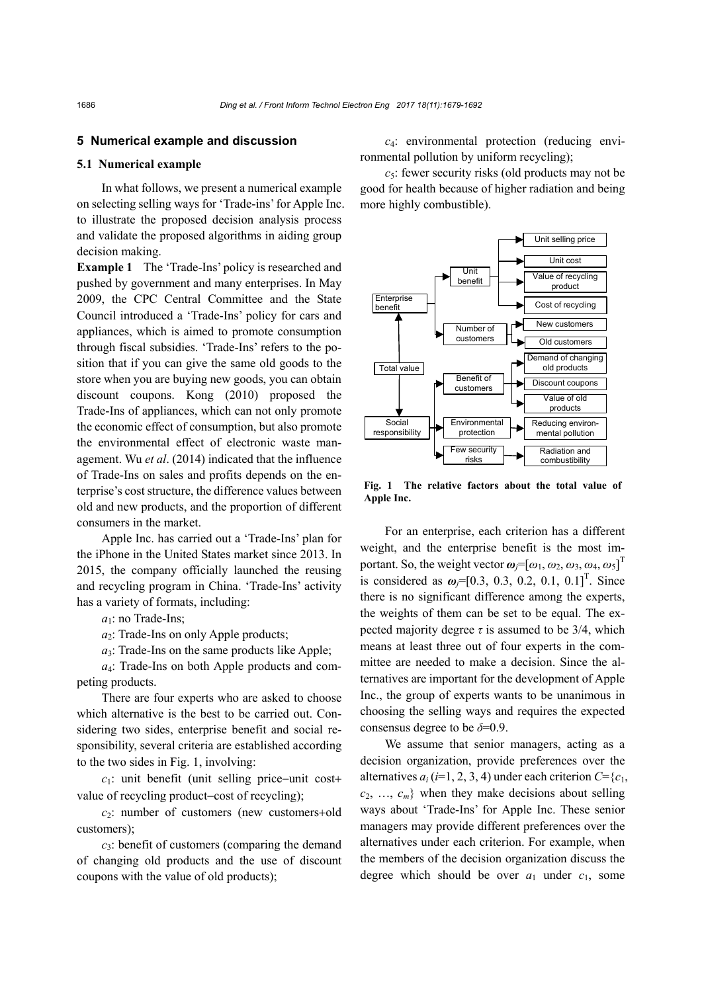### **5 Numerical example and discussion**

### **5.1 Numerical example**

In what follows, we present a numerical example on selecting selling ways for 'Trade-ins' for Apple Inc. to illustrate the proposed decision analysis process and validate the proposed algorithms in aiding group decision making.

**Example 1** The 'Trade-Ins' policy is researched and pushed by government and many enterprises. In May 2009, the CPC Central Committee and the State Council introduced a 'Trade-Ins' policy for cars and appliances, which is aimed to promote consumption through fiscal subsidies. 'Trade-Ins' refers to the position that if you can give the same old goods to the store when you are buying new goods, you can obtain discount coupons. Kong (2010) proposed the Trade-Ins of appliances, which can not only promote the economic effect of consumption, but also promote the environmental effect of electronic waste management. Wu *et al*. (2014) indicated that the influence of Trade-Ins on sales and profits depends on the enterprise's cost structure, the difference values between old and new products, and the proportion of different consumers in the market.

Apple Inc. has carried out a 'Trade-Ins' plan for the iPhone in the United States market since 2013. In 2015, the company officially launched the reusing and recycling program in China. 'Trade-Ins' activity has a variety of formats, including:

*a*<sub>1</sub>: no Trade-Ins;

*a*<sub>2</sub>: Trade-Ins on only Apple products;

*a*3: Trade-Ins on the same products like Apple;

*a*4: Trade-Ins on both Apple products and competing products.

There are four experts who are asked to choose which alternative is the best to be carried out. Considering two sides, enterprise benefit and social responsibility, several criteria are established according to the two sides in Fig. 1, involving:

 $c_1$ : unit benefit (unit selling price-unit cost+ value of recycling product-cost of recycling);

 $c_2$ : number of customers (new customers+old customers);

*c*3: benefit of customers (comparing the demand of changing old products and the use of discount coupons with the value of old products);

*c*4: environmental protection (reducing environmental pollution by uniform recycling);

 $c_5$ : fewer security risks (old products may not be good for health because of higher radiation and being more highly combustible).



**Fig. 1 The relative factors about the total value of Apple Inc.**

For an enterprise, each criterion has a different weight, and the enterprise benefit is the most important. So, the weight vector  $\boldsymbol{\omega}_j = [\omega_1, \omega_2, \omega_3, \omega_4, \omega_5]^T$ is considered as  $\omega_j = [0.3, 0.3, 0.2, 0.1, 0.1]^T$ . Since there is no significant difference among the experts, the weights of them can be set to be equal. The expected majority degree  $\tau$  is assumed to be 3/4, which means at least three out of four experts in the committee are needed to make a decision. Since the alternatives are important for the development of Apple Inc., the group of experts wants to be unanimous in choosing the selling ways and requires the expected consensus degree to be  $\delta$ =0.9.

We assume that senior managers, acting as a decision organization, provide preferences over the alternatives  $a_i$  (*i*=1, 2, 3, 4) under each criterion  $C = \{c_1, c_2, c_3, d_1\}$  $c_2, \ldots, c_m$  when they make decisions about selling ways about 'Trade-Ins' for Apple Inc. These senior managers may provide different preferences over the alternatives under each criterion. For example, when the members of the decision organization discuss the degree which should be over  $a_1$  under  $c_1$ , some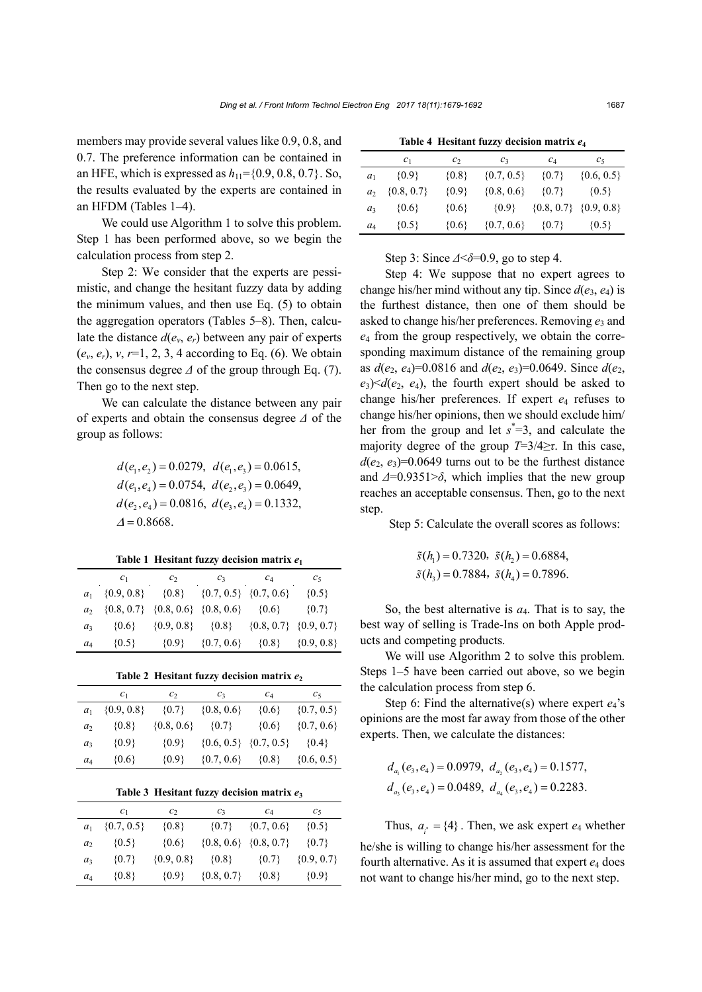members may provide several values like 0.9, 0.8, and 0.7. The preference information can be contained in an HFE, which is expressed as  $h_{11} = \{0.9, 0.8, 0.7\}$ . So, the results evaluated by the experts are contained in an HFDM (Tables 1–4).

We could use Algorithm 1 to solve this problem. Step 1 has been performed above, so we begin the calculation process from step 2.

Step 2: We consider that the experts are pessimistic, and change the hesitant fuzzy data by adding the minimum values, and then use Eq. (5) to obtain the aggregation operators (Tables 5–8). Then, calculate the distance  $d(e_v, e_v)$  between any pair of experts (*eν*, *er*), *ν*, *r*=1, 2, 3, 4 according to Eq. (6). We obtain the consensus degree *Δ* of the group through Eq. (7). Then go to the next step.

We can calculate the distance between any pair of experts and obtain the consensus degree *Δ* of the group as follows:

> $d(e_1, e_2) = 0.0279, \ d(e_1, e_3) = 0.0615,$  $d(e_1, e_4) = 0.0754, d(e_2, e_3) = 0.0649,$  $d(e_2, e_4) = 0.0816, d(e_3, e_4) = 0.1332,$  $\Delta = 0.8668$ .

|  |  |  |  | Table 1 Hesitant fuzzy decision matrix $e_1$ |
|--|--|--|--|----------------------------------------------|
|--|--|--|--|----------------------------------------------|

|                | c <sub>1</sub>                                         | $c_2$                                                            | $c_3$ | $c_4$ | $c_{5}$ |
|----------------|--------------------------------------------------------|------------------------------------------------------------------|-------|-------|---------|
|                | $a_1$ {0.9, 0.8} {0.8} {0.7, 0.5} {0.7, 0.6}           |                                                                  |       |       | ${0.5}$ |
| a <sub>2</sub> | $\{0.8, 0.7\}$ $\{0.8, 0.6\}$ $\{0.8, 0.6\}$ $\{0.6\}$ |                                                                  |       |       | -{0.7}  |
| a <sub>3</sub> |                                                        | $\{0.6\}$ $\{0.9, 0.8\}$ $\{0.8\}$ $\{0.8, 0.7\}$ $\{0.9, 0.7\}$ |       |       |         |
| $a_4$          |                                                        | $\{0.5\}$ $\{0.9\}$ $\{0.7, 0.6\}$ $\{0.8\}$ $\{0.9, 0.8\}$      |       |       |         |

Table 2 Hesitant fuzzy decision matrix  $e_2$ 

|                | c <sub>1</sub> | c <sub>2</sub> | c <sub>3</sub> | $c_4$                                   | $c_{5}$        |
|----------------|----------------|----------------|----------------|-----------------------------------------|----------------|
| a <sub>1</sub> | $\{0.9, 0.8\}$ | $\{0.7\}$      | $\{0.8, 0.6\}$ | ${0.6}$                                 | $\{0.7, 0.5\}$ |
| a <sub>2</sub> | ${0.8}$        | $\{0.8, 0.6\}$ | $\{0.7\}$      | ${0.6}$                                 | $\{0.7, 0.6\}$ |
| $a_3$          | ${0.9}$        | ${0.9}$        |                | $\{0.6, 0.5\}$ $\{0.7, 0.5\}$ $\{0.4\}$ |                |
| $a_4$          | ${0.6}$        | ${0.9}$        |                | $\{0.7, 0.6\}$ $\{0.8\}$ $\{0.6, 0.5\}$ |                |

|  |  |  |  | Table 3 Hesitant fuzzy decision matrix $e_3$ |
|--|--|--|--|----------------------------------------------|
|--|--|--|--|----------------------------------------------|

|                | c <sub>1</sub> | c <sub>2</sub> | $c_3$                         | $c_4$          | $c_{5}$        |
|----------------|----------------|----------------|-------------------------------|----------------|----------------|
| a <sub>1</sub> | $\{0.7, 0.5\}$ | ${0.8}$        | ${0.7}$                       | $\{0.7, 0.6\}$ | ${0.5}$        |
| a <sub>2</sub> | ${0.5}$        | ${0.6}$        | $\{0.8, 0.6\}$ $\{0.8, 0.7\}$ |                | $\{0.7\}$      |
| $a_3$          | ${0.7}$        | $\{0.9, 0.8\}$ | ${0.8}$                       | ${0.7}$        | $\{0.9, 0.7\}$ |
| $a_4$          | ${0.8}$        | ${0.9}$        | $\{0.8, 0.7\}$                | ${0.8}$        | ${0.9}$        |

**Table 4 Hesitant fuzzy decision matrix** *e***<sup>4</sup>**

|                | c <sub>1</sub> | c <sub>2</sub> | $\mathcal{C}_3$ | $c_4$   | $c_{5}$                   |
|----------------|----------------|----------------|-----------------|---------|---------------------------|
| a <sub>1</sub> | ${0.9}$        | ${0.8}$        | $\{0.7, 0.5\}$  | ${0.7}$ | $\{0.6, 0.5\}$            |
| a <sub>2</sub> | $\{0.8, 0.7\}$ | ${0.9}$        | $\{0.8, 0.6\}$  | ${0.7}$ | ${0.5}$                   |
| $a_3$          | ${0.6}$        | ${0.6}$        | ${0.9}$         |         | ${0.8, 0.7}$ ${0.9, 0.8}$ |
| $a_4$          | ${0.5}$        | ${0.6}$        | $\{0.7, 0.6\}$  | ${0.7}$ | ${0.5}$                   |

Step 3: Since *Δ*<*δ*=0.9, go to step 4.

Step 4: We suppose that no expert agrees to change his/her mind without any tip. Since  $d(e_3, e_4)$  is the furthest distance, then one of them should be asked to change his/her preferences. Removing  $e_3$  and *e*4 from the group respectively, we obtain the corresponding maximum distance of the remaining group as  $d(e_2, e_4) = 0.0816$  and  $d(e_2, e_3) = 0.0649$ . Since  $d(e_2, e_3) = 0.0649$ .  $e_3$  $\leq d(e_2, e_4)$ , the fourth expert should be asked to change his/her preferences. If expert *e*4 refuses to change his/her opinions, then we should exclude him/ her from the group and let  $s^* = 3$ , and calculate the majority degree of the group *T*=3/4≥*τ*. In this case,  $d(e_2, e_3)=0.0649$  turns out to be the furthest distance and  $\Delta$ =0.9351> $\delta$ , which implies that the new group reaches an acceptable consensus. Then, go to the next step.

Step 5: Calculate the overall scores as follows:

$$
\tilde{s}(h_1) = 0.7320, \ \tilde{s}(h_2) = 0.6884,
$$
  
\n $\tilde{s}(h_3) = 0.7884, \ \tilde{s}(h_4) = 0.7896.$ 

So, the best alternative is *a*4. That is to say, the best way of selling is Trade-Ins on both Apple products and competing products.

We will use Algorithm 2 to solve this problem. Steps 1–5 have been carried out above, so we begin the calculation process from step 6.

Step 6: Find the alternative(s) where expert *e*4's opinions are the most far away from those of the other experts. Then, we calculate the distances:

$$
d_{a_1}(e_3, e_4) = 0.0979, d_{a_2}(e_3, e_4) = 0.1577,
$$
  
\n $d_{a_3}(e_3, e_4) = 0.0489, d_{a_4}(e_3, e_4) = 0.2283.$ 

Thus,  $a_{i} = \{4\}$ . Then, we ask expert  $e_4$  whether

he/she is willing to change his/her assessment for the fourth alternative. As it is assumed that expert *e*4 does not want to change his/her mind, go to the next step.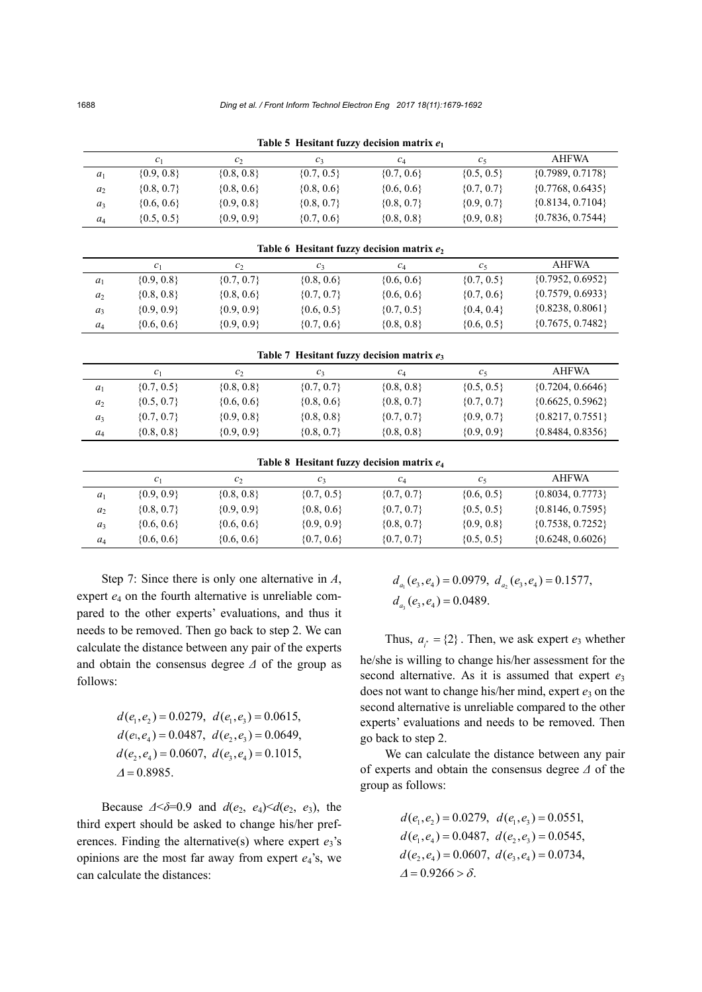|       | c <sub>1</sub>                               | $c_2$          | $c_3$          | $c_4$          | c <sub>5</sub> | <b>AHFWA</b>         |  |  |  |  |
|-------|----------------------------------------------|----------------|----------------|----------------|----------------|----------------------|--|--|--|--|
| $a_1$ | $\{0.9, 0.8\}$                               | $\{0.8, 0.8\}$ | $\{0.7, 0.5\}$ | $\{0.7, 0.6\}$ | $\{0.5, 0.5\}$ | $\{0.7989, 0.7178\}$ |  |  |  |  |
| $a_2$ | $\{0.8, 0.7\}$                               | $\{0.8, 0.6\}$ | $\{0.8, 0.6\}$ | $\{0.6, 0.6\}$ | $\{0.7, 0.7\}$ | $\{0.7768, 0.6435\}$ |  |  |  |  |
| $a_3$ | $\{0.6, 0.6\}$                               | $\{0.9, 0.8\}$ | $\{0.8, 0.7\}$ | $\{0.8, 0.7\}$ | $\{0.9, 0.7\}$ | $\{0.8134, 0.7104\}$ |  |  |  |  |
| $a_4$ | $\{0.5, 0.5\}$                               | $\{0.9, 0.9\}$ | $\{0.7, 0.6\}$ | $\{0.8, 0.8\}$ | $\{0.9, 0.8\}$ | $\{0.7836, 0.7544\}$ |  |  |  |  |
|       | Table 6 Hesitant fuzzy decision matrix $e_2$ |                |                |                |                |                      |  |  |  |  |
|       |                                              |                |                |                |                |                      |  |  |  |  |

**Table 5 Hesitant fuzzy decision matrix** *e***<sup>1</sup>**

|       |                |                |                | Table 6 Hesitant fuzzy decision matrix $e_2$ |                |                      |
|-------|----------------|----------------|----------------|----------------------------------------------|----------------|----------------------|
|       | c <sub>1</sub> | c <sub>2</sub> | $c_3$          | $c_4$                                        | $c_{5}$        | <b>AHFWA</b>         |
| $a_1$ | $\{0.9, 0.8\}$ | $\{0.7, 0.7\}$ | $\{0.8, 0.6\}$ | $\{0.6, 0.6\}$                               | $\{0.7, 0.5\}$ | $\{0.7952, 0.6952\}$ |
| $a_2$ | $\{0.8, 0.8\}$ | $\{0.8, 0.6\}$ | $\{0.7, 0.7\}$ | $\{0.6, 0.6\}$                               | $\{0.7, 0.6\}$ | $\{0.7579, 0.6933\}$ |
| $a_3$ | $\{0.9, 0.9\}$ | $\{0.9, 0.9\}$ | $\{0.6, 0.5\}$ | $\{0.7, 0.5\}$                               | $\{0.4, 0.4\}$ | $\{0.8238, 0.8061\}$ |
| $a_4$ | $\{0.6, 0.6\}$ | $\{0.9, 0.9\}$ | $\{0.7, 0.6\}$ | $\{0.8, 0.8\}$                               | $\{0.6, 0.5\}$ | $\{0.7675, 0.7482\}$ |

**Table 7 Hesitant fuzzy decision matrix** *e***<sup>3</sup>**

|       | c <sub>1</sub> | $c_2$          | $c_3$          | $c_4$          | $c_{5}$        | <b>AHFWA</b>         |
|-------|----------------|----------------|----------------|----------------|----------------|----------------------|
| $a_1$ | $\{0.7, 0.5\}$ | $\{0.8, 0.8\}$ | $\{0.7, 0.7\}$ | $\{0.8, 0.8\}$ | $\{0.5, 0.5\}$ | $\{0.7204, 0.6646\}$ |
| $a_2$ | $\{0.5, 0.7\}$ | $\{0.6, 0.6\}$ | $\{0.8, 0.6\}$ | $\{0.8, 0.7\}$ | $\{0.7, 0.7\}$ | $\{0.6625, 0.5962\}$ |
| $a_3$ | $\{0.7, 0.7\}$ | $\{0.9, 0.8\}$ | $\{0.8, 0.8\}$ | $\{0.7, 0.7\}$ | $\{0.9, 0.7\}$ | $\{0.8217, 0.7551\}$ |
| $a_4$ | $\{0.8, 0.8\}$ | $\{0.9, 0.9\}$ | $\{0.8, 0.7\}$ | $\{0.8, 0.8\}$ | $\{0.9, 0.9\}$ | $\{0.8484, 0.8356\}$ |

**Table 8 Hesitant fuzzy decision matrix** *e***<sup>4</sup>**

|       | $c_1$          | $\mathcal{C}_{2}$ | $c_3$          | $c_4$          | $c_{5}$        | <b>AHFWA</b>         |
|-------|----------------|-------------------|----------------|----------------|----------------|----------------------|
| $a_1$ | $\{0.9, 0.9\}$ | $\{0.8, 0.8\}$    | $\{0.7, 0.5\}$ | $\{0.7, 0.7\}$ | $\{0.6, 0.5\}$ | $\{0.8034, 0.7773\}$ |
| $a_2$ | $\{0.8, 0.7\}$ | $\{0.9, 0.9\}$    | $\{0.8, 0.6\}$ | $\{0.7, 0.7\}$ | $\{0.5, 0.5\}$ | $\{0.8146, 0.7595\}$ |
| $a_3$ | $\{0.6, 0.6\}$ | $\{0.6, 0.6\}$    | $\{0.9, 0.9\}$ | $\{0.8, 0.7\}$ | $\{0.9, 0.8\}$ | $\{0.7538, 0.7252\}$ |
| $a_4$ | $\{0.6, 0.6\}$ | $\{0.6, 0.6\}$    | $\{0.7, 0.6\}$ | $\{0.7, 0.7\}$ | $\{0.5, 0.5\}$ | $\{0.6248, 0.6026\}$ |

Step 7: Since there is only one alternative in *A*, expert  $e_4$  on the fourth alternative is unreliable compared to the other experts' evaluations, and thus it needs to be removed. Then go back to step 2. We can calculate the distance between any pair of the experts and obtain the consensus degree *Δ* of the group as follows:

> $d(e_1, e_4) = 0.0487, d(e_2, e_3) = 0.0649,$  $d(e_1, e_2) = 0.0279, \ d(e_1, e_3) = 0.0615,$  $d(e_2, e_4) = 0.0607, d(e_3, e_4) = 0.1015,$  $\Delta = 0.8985$ .

Because  $\Delta < \delta = 0.9$  and  $d(e_2, e_4) < d(e_2, e_3)$ , the third expert should be asked to change his/her preferences. Finding the alternative(s) where expert  $e_3$ 's opinions are the most far away from expert *e*4's, we can calculate the distances:

$$
d_{a_1}(e_3, e_4) = 0.0979, d_{a_2}(e_3, e_4) = 0.1577,
$$
  
 $d_{a_3}(e_3, e_4) = 0.0489.$ 

Thus,  $a_i = \{2\}$ . Then, we ask expert  $e_3$  whether he/she is willing to change his/her assessment for the second alternative. As it is assumed that expert  $e_3$ does not want to change his/her mind, expert  $e_3$  on the second alternative is unreliable compared to the other experts' evaluations and needs to be removed. Then go back to step 2.

We can calculate the distance between any pair of experts and obtain the consensus degree *Δ* of the group as follows:

$$
d(e1, e2) = 0.0279, d(e1, e3) = 0.0551,d(e1, e4) = 0.0487, d(e2, e3) = 0.0545,d(e2, e4) = 0.0607, d(e3, e4) = 0.0734,\Delta = 0.9266 > \delta.
$$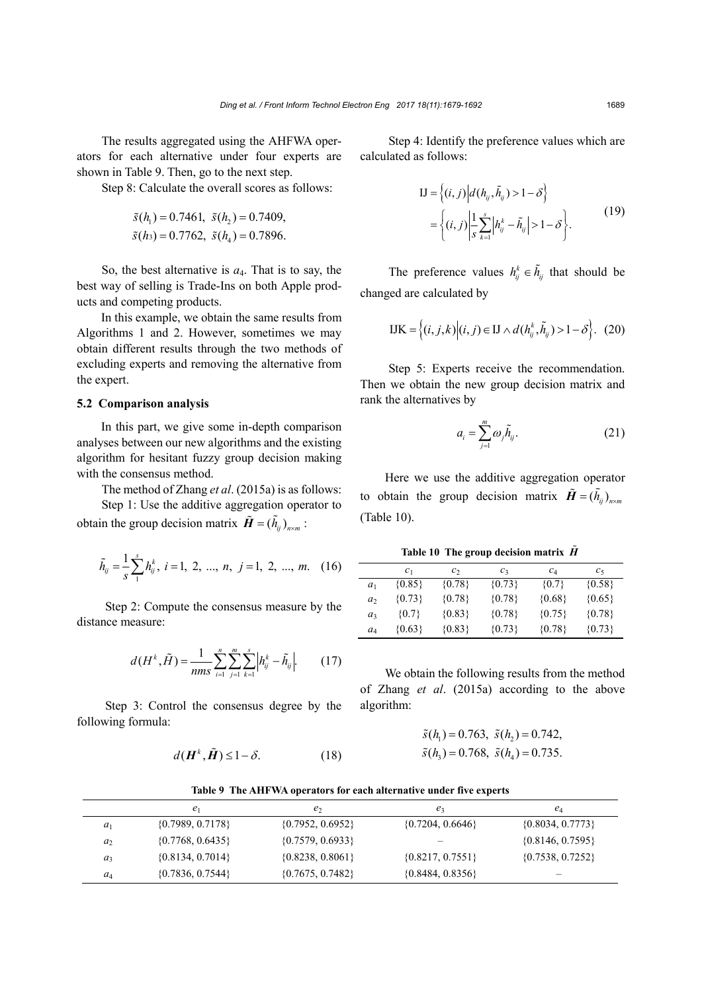The results aggregated using the AHFWA operators for each alternative under four experts are shown in Table 9. Then, go to the next step.

Step 8: Calculate the overall scores as follows:

$$
\tilde{s}(h_1) = 0.7461, \ \tilde{s}(h_2) = 0.7409,
$$
  
\n $\tilde{s}(h_3) = 0.7762, \ \tilde{s}(h_4) = 0.7896.$ 

So, the best alternative is *a*4. That is to say, the best way of selling is Trade-Ins on both Apple products and competing products.

In this example, we obtain the same results from Algorithms 1 and 2. However, sometimes we may obtain different results through the two methods of excluding experts and removing the alternative from the expert.

#### **5.2 Comparison analysis**

In this part, we give some in-depth comparison analyses between our new algorithms and the existing algorithm for hesitant fuzzy group decision making with the consensus method.

The method of Zhang *et al*. (2015a) is as follows:

Step 1: Use the additive aggregation operator to obtain the group decision matrix  $\tilde{H} = (\tilde{h}_{ij})_{n \times m}$ :

$$
\tilde{h}_{ij} = \frac{1}{s} \sum_{1}^{s} h_{ij}^{k}, \ i = 1, 2, ..., n, \ j = 1, 2, ..., m. \quad (16)
$$

Step 2: Compute the consensus measure by the distance measure:

$$
d(H^k, \tilde{H}) = \frac{1}{nms} \sum_{i=1}^n \sum_{j=1}^m \sum_{k=1}^s \left| h_{ij}^k - \tilde{h}_{ij} \right|.
$$
 (17)

Step 3: Control the consensus degree by the following formula:

$$
d(\boldsymbol{H}^k, \tilde{\boldsymbol{H}}) \le 1 - \delta. \tag{18}
$$

Step 4: Identify the preference values which are calculated as follows:

$$
\mathbf{I}\mathbf{J} = \left\{ (i, j) \middle| d(h_{ij}, \tilde{h}_{ij}) > 1 - \delta \right\}
$$

$$
= \left\{ (i, j) \middle| \frac{1}{s} \sum_{k=1}^{s} \left| h_{ij}^k - \tilde{h}_{ij} \right| > 1 - \delta \right\}.
$$
(19)

The preference values  $h_{ij}^k \in \tilde{h}_{ij}$  that should be changed are calculated by

$$
\text{IJK} = \left\{ (i, j, k) \middle| (i, j) \in \text{II} \land d(h_{ij}^*, \tilde{h}_{ij}) > 1 - \delta \right\}. (20)
$$

Step 5: Experts receive the recommendation. Then we obtain the new group decision matrix and rank the alternatives by

$$
a_i = \sum_{j=1}^{m} \omega_j \tilde{h}_{ij}.
$$
 (21)

Here we use the additive aggregation operator to obtain the group decision matrix  $\tilde{H} = (\tilde{h}_{ii})_{n \times m}$ (Table 10).

**Table 10 The group decision matrix** *H*

|                | c <sub>1</sub> | $c_2$    | $c_3$    | $c_4$    | $c_{5}$  |
|----------------|----------------|----------|----------|----------|----------|
| a <sub>1</sub> | ${0.85}$       | ${0.78}$ | ${0.73}$ | ${0.7}$  | ${0.58}$ |
| a <sub>2</sub> | ${0.73}$       | ${0.78}$ | ${0.78}$ | ${0.68}$ | ${0.65}$ |
| $a_3$          | ${0.7}$        | ${0.83}$ | ${0.78}$ | ${0.75}$ | ${0.78}$ |
| $a_4$          | ${0.63}$       | ${0.83}$ | ${0.73}$ | ${0.78}$ | ${0.73}$ |

We obtain the following results from the method of Zhang *et al*. (2015a) according to the above algorithm:

$$
\tilde{s}(h_1) = 0.763
$$
,  $\tilde{s}(h_2) = 0.742$ ,  
\n $\tilde{s}(h_3) = 0.768$ ,  $\tilde{s}(h_4) = 0.735$ .

|                | $e_1$                | e <sub>2</sub>       | eз                   | $e_4$                |
|----------------|----------------------|----------------------|----------------------|----------------------|
| a <sub>1</sub> | $\{0.7989, 0.7178\}$ | $\{0.7952, 0.6952\}$ | $\{0.7204, 0.6646\}$ | $\{0.8034, 0.7773\}$ |
| $a_2$          | $\{0.7768, 0.6435\}$ | $\{0.7579, 0.6933\}$ |                      | $\{0.8146, 0.7595\}$ |
| $a_3$          | $\{0.8134, 0.7014\}$ | $\{0.8238, 0.8061\}$ | $\{0.8217, 0.7551\}$ | $\{0.7538, 0.7252\}$ |
| $a_4$          | $\{0.7836, 0.7544\}$ | $\{0.7675, 0.7482\}$ | $\{0.8484, 0.8356\}$ |                      |

**Table 9 The AHFWA operators for each alternative under five experts**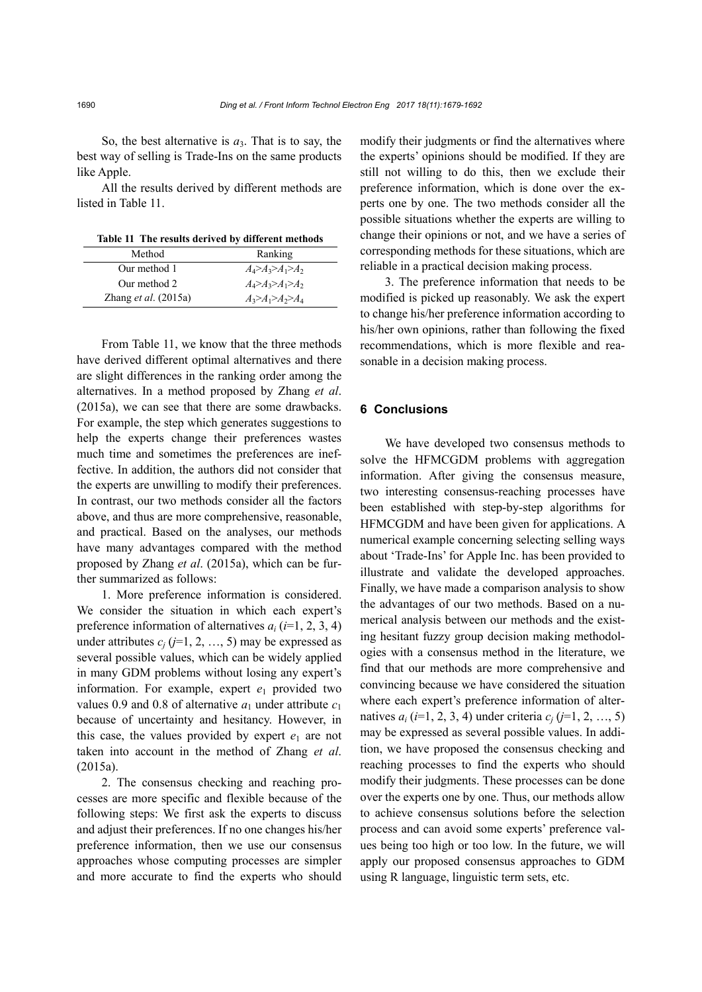So, the best alternative is  $a_3$ . That is to say, the best way of selling is Trade-Ins on the same products like Apple.

All the results derived by different methods are listed in Table 11.

**Table 11 The results derived by different methods**

| $\ldots$                      |                         |
|-------------------------------|-------------------------|
| Method                        | Ranking                 |
| Our method 1                  | $A_4 > A_3 > A_1 > A_2$ |
| Our method 2                  | $A_4 > A_3 > A_1 > A_2$ |
| Zhang <i>et al.</i> $(2015a)$ | $A_3 > A_1 > A_2 > A_4$ |

From Table 11, we know that the three methods have derived different optimal alternatives and there are slight differences in the ranking order among the alternatives. In a method proposed by Zhang *et al*. (2015a), we can see that there are some drawbacks. For example, the step which generates suggestions to help the experts change their preferences wastes much time and sometimes the preferences are ineffective. In addition, the authors did not consider that the experts are unwilling to modify their preferences. In contrast, our two methods consider all the factors above, and thus are more comprehensive, reasonable, and practical. Based on the analyses, our methods have many advantages compared with the method proposed by Zhang *et al*. (2015a), which can be further summarized as follows:

1. More preference information is considered. We consider the situation in which each expert's preference information of alternatives  $a_i$  ( $i=1, 2, 3, 4$ ) under attributes  $c_j$  ( $j=1, 2, ..., 5$ ) may be expressed as several possible values, which can be widely applied in many GDM problems without losing any expert's information. For example, expert *e*1 provided two values 0.9 and 0.8 of alternative  $a_1$  under attribute  $c_1$ because of uncertainty and hesitancy. However, in this case, the values provided by expert  $e_1$  are not taken into account in the method of Zhang *et al*. (2015a).

2. The consensus checking and reaching processes are more specific and flexible because of the following steps: We first ask the experts to discuss and adjust their preferences. If no one changes his/her preference information, then we use our consensus approaches whose computing processes are simpler and more accurate to find the experts who should modify their judgments or find the alternatives where the experts' opinions should be modified. If they are still not willing to do this, then we exclude their preference information, which is done over the experts one by one. The two methods consider all the possible situations whether the experts are willing to change their opinions or not, and we have a series of corresponding methods for these situations, which are reliable in a practical decision making process.

3. The preference information that needs to be modified is picked up reasonably. We ask the expert to change his/her preference information according to his/her own opinions, rather than following the fixed recommendations, which is more flexible and reasonable in a decision making process.

## **6 Conclusions**

We have developed two consensus methods to solve the HFMCGDM problems with aggregation information. After giving the consensus measure, two interesting consensus-reaching processes have been established with step-by-step algorithms for HFMCGDM and have been given for applications. A numerical example concerning selecting selling ways about 'Trade-Ins' for Apple Inc. has been provided to illustrate and validate the developed approaches. Finally, we have made a comparison analysis to show the advantages of our two methods. Based on a numerical analysis between our methods and the existing hesitant fuzzy group decision making methodologies with a consensus method in the literature, we find that our methods are more comprehensive and convincing because we have considered the situation where each expert's preference information of alternatives  $a_i$  ( $i=1, 2, 3, 4$ ) under criteria  $c_i$  ( $i=1, 2, ..., 5$ ) may be expressed as several possible values. In addition, we have proposed the consensus checking and reaching processes to find the experts who should modify their judgments. These processes can be done over the experts one by one. Thus, our methods allow to achieve consensus solutions before the selection process and can avoid some experts' preference values being too high or too low. In the future, we will apply our proposed consensus approaches to GDM using R language, linguistic term sets, etc.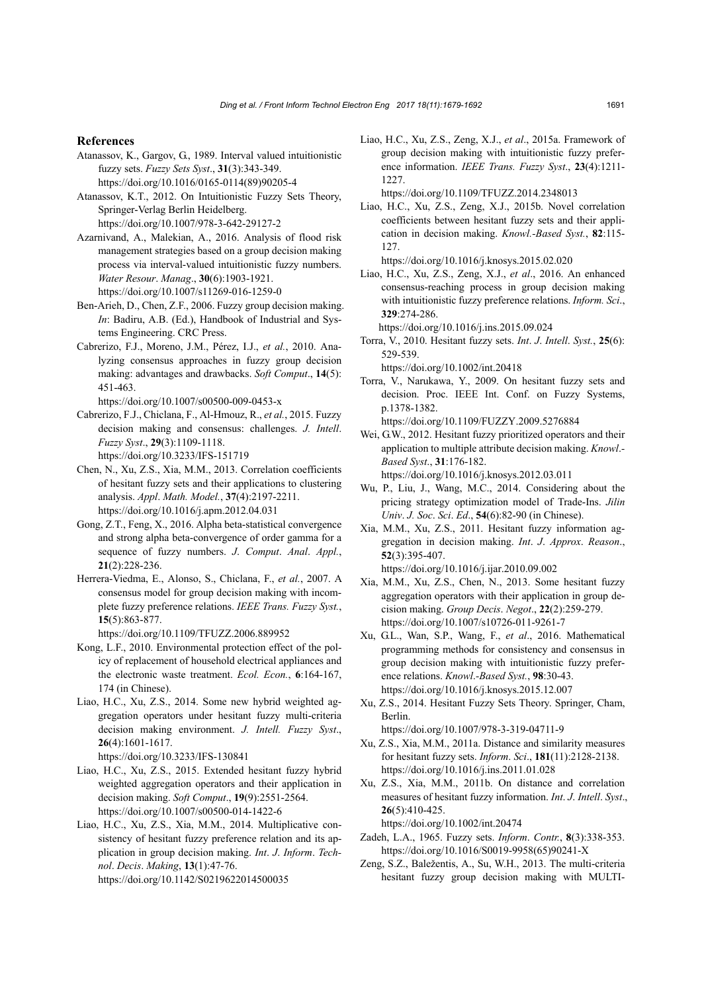#### **References**

- Atanassov, K., Gargov, G., 1989. Interval valued intuitionistic fuzzy sets. *Fuzzy Sets Syst*., **31**(3):343-349. https://doi.org/10.1016/0165-0114(89)90205-4
- Atanassov, K.T., 2012. On Intuitionistic Fuzzy Sets Theory, Springer-Verlag Berlin Heidelberg. https://doi.org/10.1007/978-3-642-29127-2
- Azarnivand, A., Malekian, A., 2016. Analysis of flood risk management strategies based on a group decision making process via interval-valued intuitionistic fuzzy numbers. *Water Resour*. *Manag*., **30**(6):1903-1921. https://doi.org/10.1007/s11269-016-1259-0
- Ben-Arieh, D., Chen, Z.F., 2006. Fuzzy group decision making. *In*: Badiru, A.B. (Ed.), Handbook of Industrial and Systems Engineering. CRC Press.
- Cabrerizo, F.J., Moreno, J.M., Pérez, I.J., *et al.*, 2010. Analyzing consensus approaches in fuzzy group decision making: advantages and drawbacks. *Soft Comput*., **14**(5): 451-463.

https://doi.org/10.1007/s00500-009-0453-x

- Cabrerizo, F.J., Chiclana, F., Al-Hmouz, R., *et al.*, 2015. Fuzzy decision making and consensus: challenges. *J. Intell*. *Fuzzy Syst*., **29**(3):1109-1118. https://doi.org/10.3233/IFS-151719
- Chen, N., Xu, Z.S., Xia, M.M., 2013. Correlation coefficients of hesitant fuzzy sets and their applications to clustering analysis. *Appl*. *Math. Model.*, **37**(4):2197-2211. https://doi.org/10.1016/j.apm.2012.04.031
- Gong, Z.T., Feng, X., 2016. Alpha beta-statistical convergence and strong alpha beta-convergence of order gamma for a sequence of fuzzy numbers. *J*. *Comput*. *Anal*. *Appl.*, **21**(2):228-236.
- Herrera-Viedma, E., Alonso, S., Chiclana, F., *et al.*, 2007. A consensus model for group decision making with incomplete fuzzy preference relations. *IEEE Trans. Fuzzy Syst.*, **15**(5):863-877.

https://doi.org/10.1109/TFUZZ.2006.889952

- Kong, L.F., 2010. Environmental protection effect of the policy of replacement of household electrical appliances and the electronic waste treatment. *Ecol. Econ.*, **6**:164-167, 174 (in Chinese).
- Liao, H.C., Xu, Z.S., 2014. Some new hybrid weighted aggregation operators under hesitant fuzzy multi-criteria decision making environment. *J. Intell. Fuzzy Syst*., **26**(4):1601-1617. https://doi.org/10.3233/IFS-130841
- Liao, H.C., Xu, Z.S., 2015. Extended hesitant fuzzy hybrid
- weighted aggregation operators and their application in decision making. *Soft Comput*., **19**(9):2551-2564. https://doi.org/10.1007/s00500-014-1422-6
- Liao, H.C., Xu, Z.S., Xia, M.M., 2014. Multiplicative consistency of hesitant fuzzy preference relation and its application in group decision making. *Int*. *J*. *Inform*. *Technol*. *Decis*. *Making*, **13**(1):47-76. https://doi.org/10.1142/S0219622014500035

Liao, H.C., Xu, Z.S., Zeng, X.J., *et al*., 2015a. Framework of group decision making with intuitionistic fuzzy preference information. *IEEE Trans. Fuzzy Syst*., **23**(4):1211- 1227.

https://doi.org/10.1109/TFUZZ.2014.2348013

Liao, H.C., Xu, Z.S., Zeng, X.J., 2015b. Novel correlation coefficients between hesitant fuzzy sets and their application in decision making. *Knowl.-Based Syst.*, **82**:115- 127.

https://doi.org/10.1016/j.knosys.2015.02.020

Liao, H.C., Xu, Z.S., Zeng, X.J., *et al*., 2016. An enhanced consensus-reaching process in group decision making with intuitionistic fuzzy preference relations. *Inform. Sci*., **329**:274-286.

https://doi.org/10.1016/j.ins.2015.09.024

Torra, V., 2010. Hesitant fuzzy sets. *Int*. *J*. *Intell*. *Syst.*, **25**(6): 529-539.

https://doi.org/10.1002/int.20418

Torra, V., Narukawa, Y., 2009. On hesitant fuzzy sets and decision. Proc. IEEE Int. Conf. on Fuzzy Systems, p.1378-1382.

https://doi.org/10.1109/FUZZY.2009.5276884

Wei, G.W., 2012. Hesitant fuzzy prioritized operators and their application to multiple attribute decision making. *Knowl*.*- Based Syst*., **31**:176-182. https://doi.org/10.1016/j.knosys.2012.03.011

Wu, P., Liu, J., Wang, M.C., 2014. Considering about the

- pricing strategy optimization model of Trade-Ins. *Jilin Univ*. *J. Soc*. *Sci*. *Ed*., **54**(6):82-90 (in Chinese).
- Xia, M.M., Xu, Z.S., 2011. Hesitant fuzzy information aggregation in decision making. *Int*. *J*. *Approx*. *Reason*., **52**(3):395-407. https://doi.org/10.1016/j.ijar.2010.09.002
- Xia, M.M., Xu, Z.S., Chen, N., 2013. Some hesitant fuzzy aggregation operators with their application in group decision making. *Group Decis*. *Negot*., **22**(2):259-279. https://doi.org/10.1007/s10726-011-9261-7
- Xu, G.L., Wan, S.P., Wang, F., *et al*., 2016. Mathematical programming methods for consistency and consensus in group decision making with intuitionistic fuzzy preference relations. *Knowl*.*-Based Syst.*, **98**:30-43. https://doi.org/10.1016/j.knosys.2015.12.007
- Xu, Z.S., 2014. Hesitant Fuzzy Sets Theory. Springer, Cham, Berlin.

https://doi.org/10.1007/978-3-319-04711-9

- Xu, Z.S., Xia, M.M., 2011a. Distance and similarity measures for hesitant fuzzy sets. *Inform*. *Sci*., **181**(11):2128-2138. https://doi.org/10.1016/j.ins.2011.01.028
- Xu, Z.S., Xia, M.M., 2011b. On distance and correlation measures of hesitant fuzzy information. *Int*. *J*. *Intell*. *Syst*., **26**(5):410-425. https://doi.org/10.1002/int.20474
- Zadeh, L.A., 1965. Fuzzy sets. *Inform*. *Contr.*, **8**(3):338-353. https://doi.org/10.1016/S0019-9958(65)90241-X
- Zeng, S.Z., Baležentis, A., Su, W.H., 2013. The multi-criteria hesitant fuzzy group decision making with MULTI-